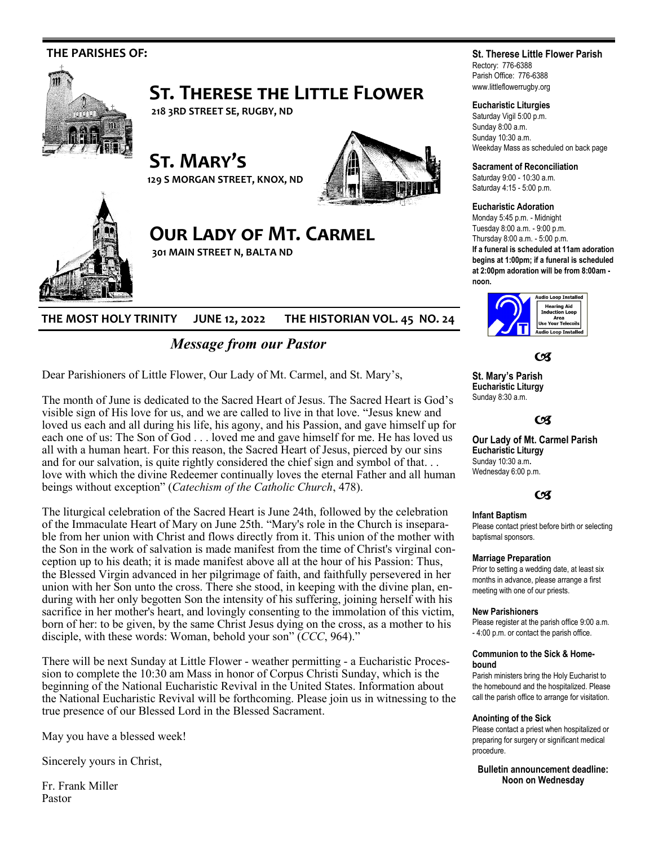

# **THE MOST HOLY TRINITY JUNE 12, 2022 THE HISTORIAN VOL. 45 NO. 24**

# *Message from our Pastor*

Dear Parishioners of Little Flower, Our Lady of Mt. Carmel, and St. Mary's,

The month of June is dedicated to the Sacred Heart of Jesus. The Sacred Heart is God's visible sign of His love for us, and we are called to live in that love. "Jesus knew and loved us each and all during his life, his agony, and his Passion, and gave himself up for each one of us: The Son of God . . . loved me and gave himself for me. He has loved us all with a human heart. For this reason, the Sacred Heart of Jesus, pierced by our sins and for our salvation, is quite rightly considered the chief sign and symbol of that... love with which the divine Redeemer continually loves the eternal Father and all human beings without exception" (*Catechism of the Catholic Church*, 478).

The liturgical celebration of the Sacred Heart is June 24th, followed by the celebration of the Immaculate Heart of Mary on June 25th. "Mary's role in the Church is inseparable from her union with Christ and flows directly from it. This union of the mother with the Son in the work of salvation is made manifest from the time of Christ's virginal conception up to his death; it is made manifest above all at the hour of his Passion: Thus, the Blessed Virgin advanced in her pilgrimage of faith, and faithfully persevered in her union with her Son unto the cross. There she stood, in keeping with the divine plan, enduring with her only begotten Son the intensity of his suffering, joining herself with his sacrifice in her mother's heart, and lovingly consenting to the immolation of this victim, born of her: to be given, by the same Christ Jesus dying on the cross, as a mother to his disciple, with these words: Woman, behold your son" (*CCC*, 964)."

There will be next Sunday at Little Flower - weather permitting - a Eucharistic Procession to complete the 10:30 am Mass in honor of Corpus Christi Sunday, which is the beginning of the National Eucharistic Revival in the United States. Information about the National Eucharistic Revival will be forthcoming. Please join us in witnessing to the true presence of our Blessed Lord in the Blessed Sacrament.

May you have a blessed week!

Sincerely yours in Christ,

Fr. Frank Miller Pastor

# **St. Therese Little Flower Parish**

Rectory: 776-6388 Parish Office: 776-6388 www.littleflowerrugby.org

### **Eucharistic Liturgies**

Saturday Vigil 5:00 p.m. Sunday 8:00 a.m. Sunday 10:30 a.m. Weekday Mass as scheduled on back page

**Sacrament of Reconciliation**

Saturday 9:00 - 10:30 a.m. Saturday 4:15 - 5:00 p.m.

#### **Eucharistic Adoration**

Monday 5:45 p.m. - Midnight Tuesday 8:00 a.m. - 9:00 p.m. Thursday 8:00 a.m. - 5:00 p.m. **If a funeral is scheduled at 11am adoration begins at 1:00pm; if a funeral is scheduled at 2:00pm adoration will be from 8:00am -**



 $C<sup>g</sup>$ 

**St. Mary's Parish Eucharistic Liturgy**  Sunday 8:30 a.m.

### $C<sup>q</sup>$

**Our Lady of Mt. Carmel Parish Eucharistic Liturgy**  Sunday 10:30 a.m**.**  Wednesday 6:00 p.m.

# $C<sub>3</sub>$

#### **Infant Baptism**

Please contact priest before birth or selecting baptismal sponsors.

#### **Marriage Preparation**

Prior to setting a wedding date, at least six months in advance, please arrange a first meeting with one of our priests.

#### **New Parishioners**

Please register at the parish office 9:00 a.m. - 4:00 p.m. or contact the parish office.

#### **Communion to the Sick & Homebound**

Parish ministers bring the Holy Eucharist to the homebound and the hospitalized. Please call the parish office to arrange for visitation.

#### **Anointing of the Sick**

Please contact a priest when hospitalized or preparing for surgery or significant medical procedure.

**Bulletin announcement deadline: Noon on Wednesday**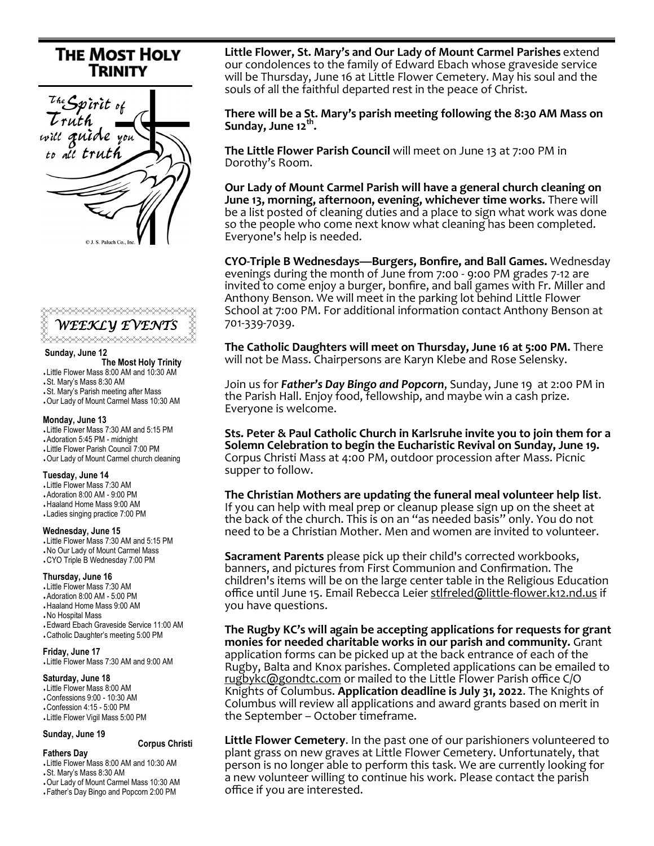# **THE MOST HOLY TRINITY**





#### **Sunday, June 12**

- **The Most Holy Trinity**
- Little Flower Mass 8:00 AM and 10:30 AM
- St. Mary's Mass 8:30 AM
- St. Mary's Parish meeting after Mass
- Our Lady of Mount Carmel Mass 10:30 AM

#### **Monday, June 13**

- Little Flower Mass 7:30 AM and 5:15 PM
- Adoration 5:45 PM midnight
- Little Flower Parish Council 7:00 PM
- Our Lady of Mount Carmel church cleaning

#### **Tuesday, June 14**

- Little Flower Mass 7:30 AM
- Adoration 8:00 AM 9:00 PM
- Haaland Home Mass 9:00 AM
- Ladies singing practice 7:00 PM

# **Wednesday, June 15**

 Little Flower Mass 7:30 AM and 5:15 PM No Our Lady of Mount Carmel Mass CYO Triple B Wednesday 7:00 PM

#### **Thursday, June 16**

- Little Flower Mass 7:30 AM
- Adoration 8:00 AM 5:00 PM
- Haaland Home Mass 9:00 AM
- No Hospital Mass
- Edward Ebach Graveside Service 11:00 AM Catholic Daughter's meeting 5:00 PM

#### **Friday, June 17**

Little Flower Mass 7:30 AM and 9:00 AM 

#### **Saturday, June 18**

 Little Flower Mass 8:00 AM Confessions 9:00 - 10:30 AM Confession 4:15 - 5:00 PM Little Flower Vigil Mass 5:00 PM

# **Sunday, June 19**

 **Corpus Christi**

#### **Fathers Day**

Little Flower Mass 8:00 AM and 10:30 AM

- St. Mary's Mass 8:30 AM
- Our Lady of Mount Carmel Mass 10:30 AM
- Father's Day Bingo and Popcorn 2:00 PM

**Little Flower, St. Mary's and Our Lady of Mount Carmel Parishes** extend our condolences to the family of Edward Ebach whose graveside service will be Thursday, June 16 at Little Flower Cemetery. May his soul and the souls of all the faithful departed rest in the peace of Christ.

**There will be a St. Mary's parish meeting following the 8:30 AM Mass on Sunday, June 12th .**

**The Little Flower Parish Council** will meet on June 13 at 7:00 PM in Dorothy's Room.

**Our Lady of Mount Carmel Parish will have a general church cleaning on June 13, morning, afternoon, evening, whichever time works.** There will be a list posted of cleaning duties and a place to sign what work was done so the people who come next know what cleaning has been completed. Everyone's help is needed.

**CYO-Triple B Wednesdays—Burgers, Bonfire, and Ball Games.** Wednesday evenings during the month of June from 7:00 - 9:00 PM grades 7-12 are invited to come enjoy a burger, bonfire, and ball games with Fr. Miller and Anthony Benson. We will meet in the parking lot behind Little Flower School at 7:00 PM. For additional information contact Anthony Benson at 701-339-7039.

**The Catholic Daughters will meet on Thursday, June 16 at 5:00 PM.** There will not be Mass. Chairpersons are Karyn Klebe and Rose Selensky.

Join us for *Father's Day Bingo and Popcorn*, Sunday, June 19 at 2:00 PM in the Parish Hall. Enjoy food, fellowship, and maybe win a cash prize. Everyone is welcome.

**Sts. Peter & Paul Catholic Church in Karlsruhe invite you to join them for a Solemn Celebration to begin the Eucharistic Revival on Sunday, June 19.**  Corpus Christi Mass at 4:00 PM, outdoor procession after Mass. Picnic supper to follow.

**The Christian Mothers are updating the funeral meal volunteer help list**. If you can help with meal prep or cleanup please sign up on the sheet at the back of the church. This is on an "as needed basis" only. You do not need to be a Christian Mother. Men and women are invited to volunteer.

**Sacrament Parents** please pick up their child's corrected workbooks, banners, and pictures from First Communion and Confirmation. The children's items will be on the large center table in the Religious Education office until June 15. Email Rebecca Leier stlfreled@little-[flower.k12.nd.us](mailto:stlfreled@little-flower.k12.nd.us) if you have questions.

**The Rugby KC's will again be accepting applications for requests for grant monies for needed charitable works in our parish and community.** Grant application forms can be picked up at the back entrance of each of the Rugby, Balta and Knox parishes. Completed applications can be emailed to [rugbykc@gondtc.com](mailto:rugbykc@gondtc.com) or mailed to the Little Flower Parish office C/O Knights of Columbus. **Application deadline is July 31, 2022**. The Knights of Columbus will review all applications and award grants based on merit in the September – October timeframe.

**Little Flower Cemetery**. In the past one of our parishioners volunteered to plant grass on new graves at Little Flower Cemetery. Unfortunately, that person is no longer able to perform this task. We are currently looking for a new volunteer willing to continue his work. Please contact the parish office if you are interested.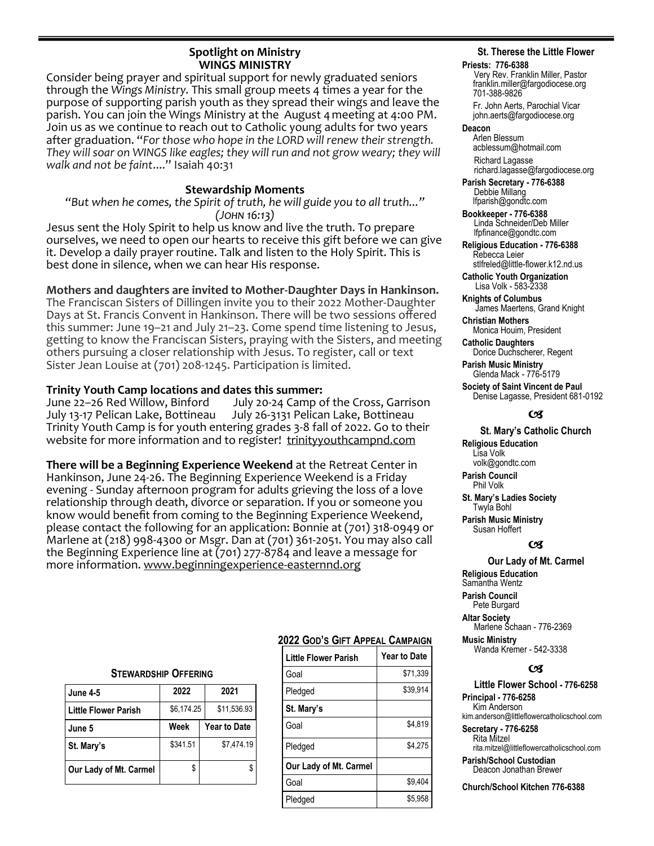# **Spotlight on Ministry WINGS MINISTRY**

Consider being prayer and spiritual support for newly graduated seniors through the *Wings Ministry.* This small group meets 4 times a year for the purpose of supporting parish youth as they spread their wings and leave the parish. You can join the Wings Ministry at the August 4 meeting at 4:00 PM. Join us as we continue to reach out to Catholic young adults for two years after graduation. "*For those who hope in the LORD will renew their strength. They will soar on WINGS like eagles; they will run and not grow weary; they will walk and not be faint*...." Isaiah 40:31

# **Stewardship Moments**

*"But when he comes, the Spirit of truth, he will guide you to all truth..." (John 16:13)*

Jesus sent the Holy Spirit to help us know and live the truth. To prepare ourselves, we need to open our hearts to receive this gift before we can give it. Develop a daily prayer routine. Talk and listen to the Holy Spirit. This is best done in silence, when we can hear His response.

# **Mothers and daughters are invited to Mother-Daughter Days in Hankinson.**

The Franciscan Sisters of Dillingen invite you to their 2022 Mother-Daughter Days at St. Francis Convent in Hankinson. There will be two sessions offered this summer: June 19–21 and July 21–23. Come spend time listening to Jesus, getting to know the Franciscan Sisters, praying with the Sisters, and meeting others pursuing a closer relationship with Jesus. To register, call or text Sister Jean Louise at (701) 208-1245. Participation is limited.

# **Trinity Youth Camp locations and dates this summer:**

June 22–26 Red Willow, Binford July 20-24 Camp of the Cross, Garrison July 13-17 Pelican Lake, Bottineau July 26-3131 Pelican Lake, Bottineau Trinity Youth Camp is for youth entering grades 3-8 fall of 2022. Go to their website for more information and to register! [trinityyouthcampnd.com](http://trinityyouthcampnd.com)

**There will be a Beginning Experience Weekend** at the Retreat Center in Hankinson, June 24-26. The Beginning Experience Weekend is a Friday evening - Sunday afternoon program for adults grieving the loss of a love relationship through death, divorce or separation. If you or someone you know would benefit from coming to the Beginning Experience Weekend, please contact the following for an application: Bonnie at (701) 318-0949 or Marlene at (218) 998-4300 or Msgr. Dan at (701) 361-2051. You may also call the Beginning Experience line at (701) 277-8784 and leave a message for more information. www.beginningexperience-easternnd.org

## **STEWARDSHIP OFFERING**

| <b>June 4-5</b>        | 2022       | 2021                |  |
|------------------------|------------|---------------------|--|
| Little Flower Parish   | \$6,174.25 | \$11,536.93         |  |
| June 5                 | Week       | <b>Year to Date</b> |  |
| St. Mary's             | \$341.51   | \$7,474.19          |  |
| Our Lady of Mt. Carmel | \$         |                     |  |

# **2022 GOD'S GIFT APPEAL CAMPAIGN**

| Little Flower Parish   | <b>Year to Date</b> |
|------------------------|---------------------|
| Goal                   | \$71,339            |
| Pledged                | \$39,914            |
| St. Mary's             |                     |
| Goal                   | \$4,819             |
| Pledged                | \$4,275             |
| Our Lady of Mt. Carmel |                     |
| Goal                   | \$9.404             |
| Pledged                | \$5.958             |

# **St. Therese the Little Flower**

#### **Priests: 776-6388**

Very Rev. Franklin Miller, Pastor franklin.miller@fargodiocese.org 701-388-9826

 Fr. John Aerts, Parochial Vicar john.aerts@fargodiocese.org

## **Deacon**

 Arlen Blessum acblessum@hotmail.com Richard Lagasse richard.lagasse@fargodiocese.org

**Parish Secretary - 776-6388** Debbie Millang lfparish@gondtc.com

**Bookkeeper - 776-6388** Linda Schneider/Deb Miller lfpfinance@gondtc.com

**Religious Education - 776-6388** Rebecca Leier [stlfreled@little-flower.k12.nd.us](mailto:stlfreled@little-flower.k12.nd.us) 

**Catholic Youth Organization** Lisa Volk - 583-2338

**Knights of Columbus** James Maertens, Grand Knight

**Christian Mothers** Monica Houim, President

**Catholic Daughters** Dorice Duchscherer, Regent **Parish Music Ministry**

Glenda Mack - 776-5179

**Society of Saint Vincent de Paul** Denise Lagasse, President 681-0192

# (Æ

#### **St. Mary's Catholic Church**

**Religious Education**  Lisa Volk volk@gondtc.com **Parish Council** 

Phil Volk

**St. Mary's Ladies Society**  Twyla Bohl **Parish Music Ministry**

Susan Hoffert

## $\alpha$

# **Our Lady of Mt. Carmel**

**Religious Education**  Samantha Wentz **Parish Council**  Pete Burgard **Altar Society**  Marlene Schaan - 776-2369 **Music Ministry**

Wanda Kremer - 542-3338

## $\epsilon$

**Little Flower School - 776-6258 Principal - 776-6258** Kim Anderson kim.anderson@littleflowercatholicschool.com

**Secretary - 776-6258** Rita Mitzel rita.mitzel@littleflowercatholicschool.com

**Parish/School Custodian** Deacon Jonathan Brewer

**Church/School Kitchen 776-6388**